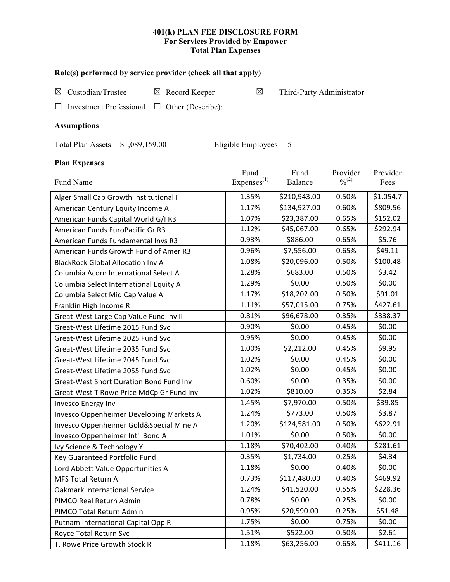## **401(k) PLAN FEE DISCLOSURE FORM For Services Provided by Empower Total Plan Expenses**

| Role(s) performed by service provider (check all that apply)             |                        |                           |                              |           |  |  |  |
|--------------------------------------------------------------------------|------------------------|---------------------------|------------------------------|-----------|--|--|--|
| Custodian/Trustee<br>$\boxtimes$ Record Keeper<br>⊠                      | $\boxtimes$            | Third-Party Administrator |                              |           |  |  |  |
| <b>Investment Professional</b><br>$\Box$ Other (Describe):               |                        |                           |                              |           |  |  |  |
|                                                                          |                        |                           |                              |           |  |  |  |
| <b>Assumptions</b>                                                       |                        |                           |                              |           |  |  |  |
| Eligible Employees<br>Total Plan Assets \$1,089,159.00<br>$\overline{5}$ |                        |                           |                              |           |  |  |  |
| <b>Plan Expenses</b>                                                     |                        |                           |                              |           |  |  |  |
|                                                                          | Fund                   | Fund                      | Provider                     | Provider  |  |  |  |
| Fund Name                                                                | Express <sup>(1)</sup> | Balance                   | $\frac{0}{2}$ <sup>(2)</sup> | Fees      |  |  |  |
| Alger Small Cap Growth Institutional I                                   | 1.35%                  | \$210,943.00              | 0.50%                        | \$1,054.7 |  |  |  |
| American Century Equity Income A                                         | 1.17%                  | \$134,927.00              | 0.60%                        | \$809.56  |  |  |  |
| American Funds Capital World G/I R3                                      | 1.07%                  | \$23,387.00               | 0.65%                        | \$152.02  |  |  |  |
| American Funds EuroPacific Gr R3                                         | 1.12%                  | \$45,067.00               | 0.65%                        | \$292.94  |  |  |  |
| American Funds Fundamental Invs R3                                       | 0.93%                  | \$886.00                  | 0.65%                        | \$5.76    |  |  |  |
| American Funds Growth Fund of Amer R3                                    | 0.96%                  | \$7,556.00                | 0.65%                        | \$49.11   |  |  |  |
| <b>BlackRock Global Allocation Inv A</b>                                 | 1.08%                  | \$20,096.00               | 0.50%                        | \$100.48  |  |  |  |
| Columbia Acorn International Select A                                    | 1.28%                  | \$683.00                  | 0.50%                        | \$3.42    |  |  |  |
| Columbia Select International Equity A                                   | 1.29%                  | \$0.00                    | 0.50%                        | \$0.00    |  |  |  |
| Columbia Select Mid Cap Value A                                          | 1.17%                  | \$18,202.00               | 0.50%                        | \$91.01   |  |  |  |
| Franklin High Income R                                                   | 1.11%                  | \$57,015.00               | 0.75%                        | \$427.61  |  |  |  |
| Great-West Large Cap Value Fund Inv II                                   | 0.81%                  | \$96,678.00               | 0.35%                        | \$338.37  |  |  |  |
| Great-West Lifetime 2015 Fund Svc                                        | 0.90%                  | \$0.00                    | 0.45%                        | \$0.00    |  |  |  |
| Great-West Lifetime 2025 Fund Svc                                        | 0.95%                  | \$0.00                    | 0.45%                        | \$0.00    |  |  |  |
| Great-West Lifetime 2035 Fund Svc                                        | 1.00%                  | \$2,212.00                | 0.45%                        | \$9.95    |  |  |  |
| Great-West Lifetime 2045 Fund Svc                                        | 1.02%                  | \$0.00                    | 0.45%                        | \$0.00    |  |  |  |
| Great-West Lifetime 2055 Fund Svc                                        | 1.02%                  | \$0.00                    | 0.45%                        | \$0.00    |  |  |  |
| <b>Great-West Short Duration Bond Fund Inv</b>                           | 0.60%                  | \$0.00                    | 0.35%                        | \$0.00    |  |  |  |
| Great-West T Rowe Price MdCp Gr Fund Inv                                 | 1.02%                  | \$810.00                  | 0.35%                        | \$2.84    |  |  |  |
| Invesco Energy Inv                                                       | 1.45%                  | \$7,970.00                | 0.50%                        | \$39.85   |  |  |  |
| Invesco Oppenheimer Developing Markets A                                 | 1.24%                  | \$773.00                  | 0.50%                        | \$3.87    |  |  |  |
| Invesco Oppenheimer Gold&Special Mine A                                  | 1.20%                  | \$124,581.00              | 0.50%                        | \$622.91  |  |  |  |
| Invesco Oppenheimer Int'l Bond A                                         | 1.01%                  | \$0.00                    | 0.50%                        | \$0.00    |  |  |  |
| Ivy Science & Technology Y                                               | 1.18%                  | \$70,402.00               | 0.40%                        | \$281.61  |  |  |  |
| Key Guaranteed Portfolio Fund                                            | 0.35%                  | \$1,734.00                | 0.25%                        | \$4.34    |  |  |  |
| Lord Abbett Value Opportunities A                                        | 1.18%                  | \$0.00                    | 0.40%                        | \$0.00    |  |  |  |
| MFS Total Return A                                                       | 0.73%                  | \$117,480.00              | 0.40%                        | \$469.92  |  |  |  |
| <b>Oakmark International Service</b>                                     | 1.24%                  | \$41,520.00               | 0.55%                        | \$228.36  |  |  |  |
| PIMCO Real Return Admin                                                  | 0.78%                  | \$0.00                    | 0.25%                        | \$0.00    |  |  |  |
| PIMCO Total Return Admin                                                 | 0.95%                  | \$20,590.00               | 0.25%                        | \$51.48   |  |  |  |
| Putnam International Capital Opp R                                       | 1.75%                  | \$0.00                    | 0.75%                        | \$0.00    |  |  |  |
| Royce Total Return Svc                                                   | 1.51%                  | \$522.00                  | 0.50%                        | \$2.61    |  |  |  |

T. Rowe Price Growth Stock R 1.18% | \$63,256.00 | 0.65% | \$411.16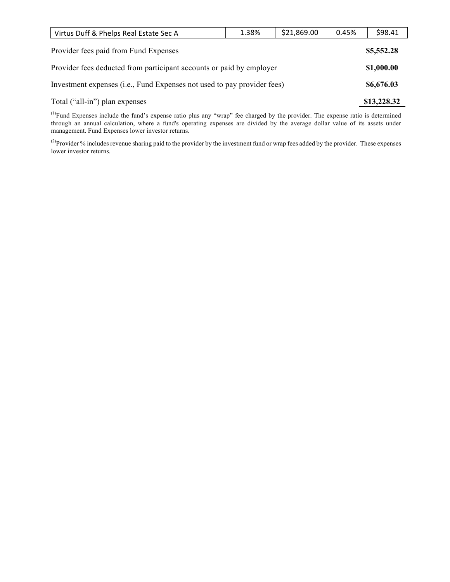| Virtus Duff & Phelps Real Estate Sec A                                  | 1.38% | \$21,869.00 | 0.45% | \$98.41     |
|-------------------------------------------------------------------------|-------|-------------|-------|-------------|
| Provider fees paid from Fund Expenses                                   |       |             |       |             |
| Provider fees deducted from participant accounts or paid by employer    |       |             |       |             |
| Investment expenses (i.e., Fund Expenses not used to pay provider fees) |       |             |       | \$6,676.03  |
| Total ("all-in") plan expenses                                          |       |             |       | \$13,228.32 |

<sup>(1)</sup>Fund Expenses include the fund's expense ratio plus any "wrap" fee charged by the provider. The expense ratio is determined through an annual calculation, where a fund's operating expenses are divided by the average dollar value of its assets under management. Fund Expenses lower investor returns.

<sup>(2)</sup>Provider % includes revenue sharing paid to the provider by the investment fund or wrap fees added by the provider. These expenses lower investor returns.